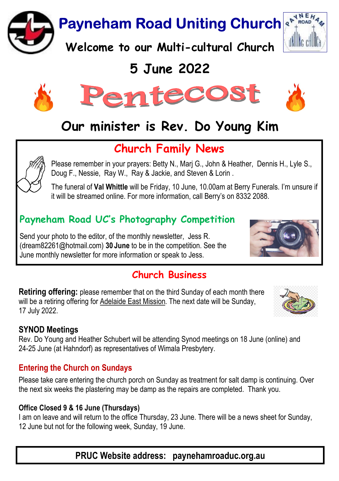**Payneham Road Uniting Church** 

Welcome to our Multi-cultural Church

# 5 June 2022



# Our minister is Rev. Do Young Kim

## Church Family News

Please remember in your prayers: Betty N., Marj G., John & Heather, Dennis H., Lyle S., Doug F., Nessie, Ray W., Ray & Jackie, and Steven & Lorin .

The funeral of Val Whittle will be Friday, 10 June, 10.00am at Berry Funerals. I'm unsure if it will be streamed online. For more information, call Berry's on 8332 2088.

## Payneham Road UC's Photography Competition

Send your photo to the editor, of the monthly newsletter, Jess R. (dream82261@hotmail.com) 30 June to be in the competition. See the June monthly newsletter for more information or speak to Jess.

## Church Rusingss

Retiring offering: please remember that on the third Sunday of each month there will be a retiring offering for Adelaide East Mission. The next date will be Sunday, 17 July 2022.

#### SYNOD Meetings

Rev. Do Young and Heather Schubert will be attending Synod meetings on 18 June (online) and 24-25 June (at Hahndorf) as representatives of Wimala Presbytery.

#### Entering the Church on Sundays

Please take care entering the church porch on Sunday as treatment for salt damp is continuing. Over the next six weeks the plastering may be damp as the repairs are completed. Thank you.

#### Office Closed 9 & 16 June (Thursdays)

I am on leave and will return to the office Thursday, 23 June. There will be a news sheet for Sunday, 12 June but not for the following week, Sunday, 19 June.

PRUC Website address: paynehamroaduc.org.au